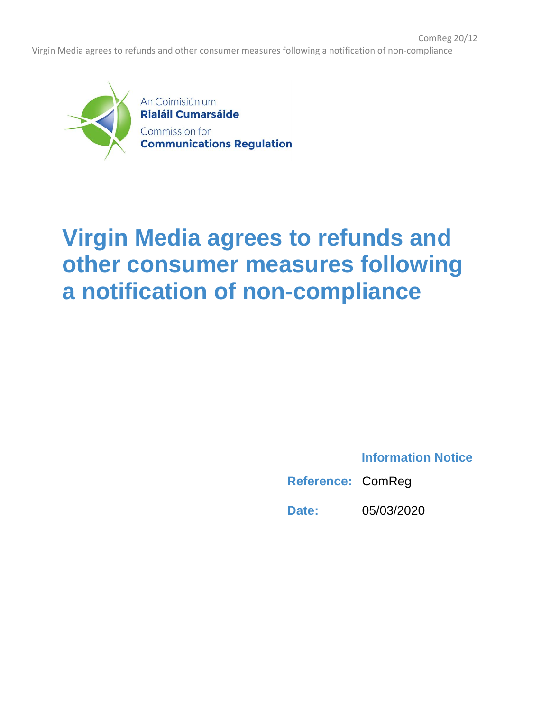ComReg 20/12 Virgin Media agrees to refunds and other consumer measures following a notification of non-compliance



## **Virgin Media agrees to refunds and other consumer measures following a notification of non-compliance**

**Information Notice**

**Reference:** ComReg

**Date:** 05/03/2020